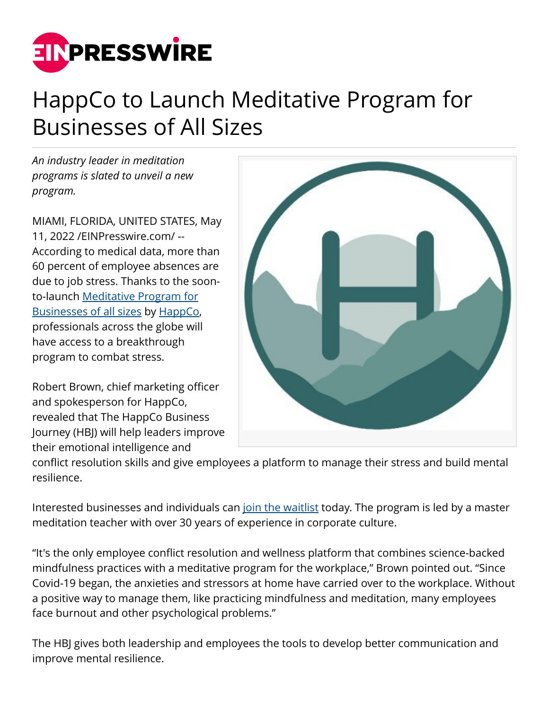

## HappCo to Launch Meditative Program for Businesses of All Sizes

*An industry leader in meditation programs is slated to unveil a new program.*

MIAMI, FLORIDA, UNITED STATES, May 11, 2022 /[EINPresswire.com/](http://www.einpresswire.com) -- According to medical data, more than 60 percent of employee absences are due to job stress. Thanks to the soonto-launch [Meditative Program for](https://www.happco.com/business) [Businesses of all sizes](https://www.happco.com/business) by [HappCo](https://www.happco.com/), professionals across the globe will have access to a breakthrough program to combat stress.

Robert Brown, chief marketing officer and spokesperson for HappCo, revealed that The HappCo Business Journey (HBJ) will help leaders improve their emotional intelligence and



conflict resolution skills and give employees a platform to manage their stress and build mental resilience.

Interested businesses and individuals can [join the waitlist](https://www.happco.com/business) today. The program is led by a master meditation teacher with over 30 years of experience in corporate culture.

"It's the only employee conflict resolution and wellness platform that combines science-backed mindfulness practices with a meditative program for the workplace," Brown pointed out. "Since Covid-19 began, the anxieties and stressors at home have carried over to the workplace. Without a positive way to manage them, like practicing mindfulness and meditation, many employees face burnout and other psychological problems."

The HBJ gives both leadership and employees the tools to develop better communication and improve mental resilience.